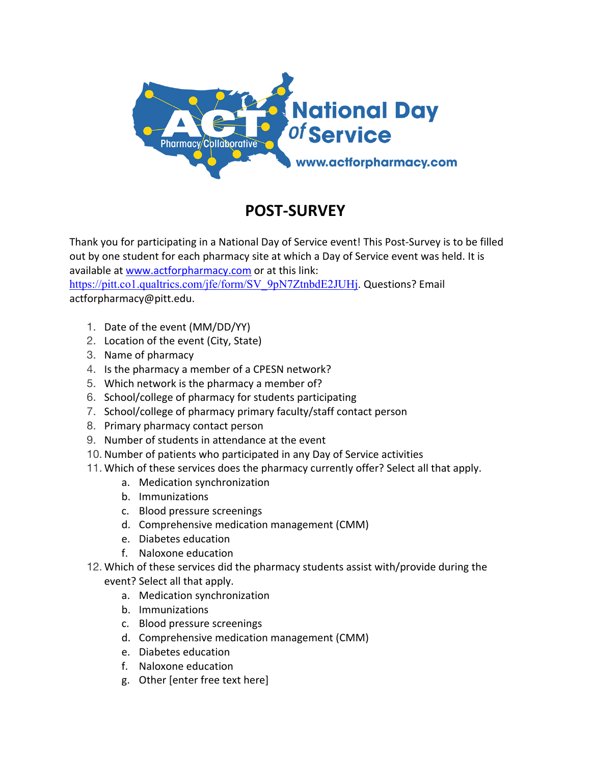

## **POST-SURVEY**

Thank you for participating in a National Day of Service event! This Post-Survey is to be filled out by one student for each pharmacy site at which a Day of Service event was held. It is available at www.actforpharmacy.com or at this link:

https://pitt.co1.qualtrics.com/jfe/form/SV\_9pN7ZtnbdE2JUHj. Questions? Email actforpharmacy@pitt.edu.

- 1. Date of the event (MM/DD/YY)
- 2. Location of the event (City, State)
- 3. Name of pharmacy
- 4. Is the pharmacy a member of a CPESN network?
- 5. Which network is the pharmacy a member of?
- 6. School/college of pharmacy for students participating
- 7. School/college of pharmacy primary faculty/staff contact person
- 8. Primary pharmacy contact person
- 9. Number of students in attendance at the event
- 10. Number of patients who participated in any Day of Service activities
- 11. Which of these services does the pharmacy currently offer? Select all that apply.
	- a. Medication synchronization
	- b. Immunizations
	- c. Blood pressure screenings
	- d. Comprehensive medication management (CMM)
	- e. Diabetes education
	- f. Naloxone education
- 12. Which of these services did the pharmacy students assist with/provide during the event? Select all that apply.
	- a. Medication synchronization
	- b. Immunizations
	- c. Blood pressure screenings
	- d. Comprehensive medication management (CMM)
	- e. Diabetes education
	- f. Naloxone education
	- g. Other [enter free text here]